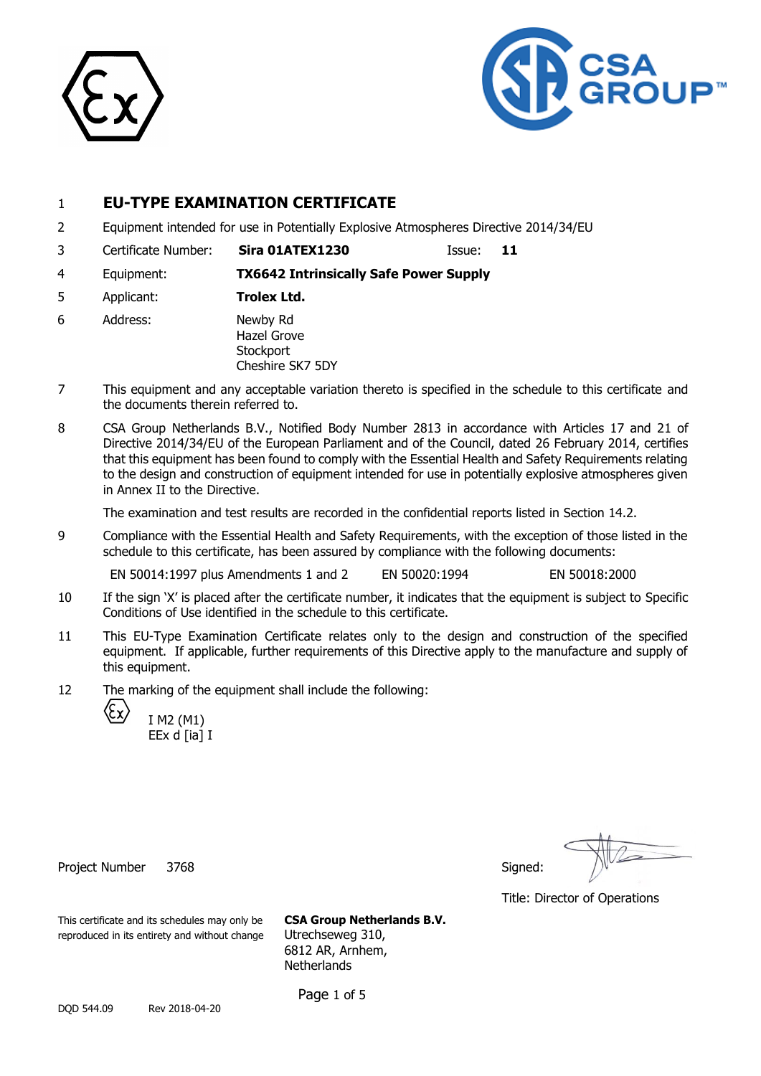



# 1 **EU-TYPE EXAMINATION CERTIFICATE**

- 2 Equipment intended for use in Potentially Explosive Atmospheres Directive 2014/34/EU
- 3 Certificate Number: **Sira 01ATEX1230** Issue: **11**

4 Equipment: **TX6642 Intrinsically Safe Power Supply**

- 5 Applicant: **Trolex Ltd.**
- 6 Address: Newby Rd Hazel Grove **Stockport** Cheshire SK7 5DY
- 7 This equipment and any acceptable variation thereto is specified in the schedule to this certificate and the documents therein referred to.
- 8 CSA Group Netherlands B.V., Notified Body Number 2813 in accordance with Articles 17 and 21 of Directive 2014/34/EU of the European Parliament and of the Council, dated 26 February 2014, certifies that this equipment has been found to comply with the Essential Health and Safety Requirements relating to the design and construction of equipment intended for use in potentially explosive atmospheres given in Annex II to the Directive.

The examination and test results are recorded in the confidential reports listed in Section 14.2.

9 Compliance with the Essential Health and Safety Requirements, with the exception of those listed in the schedule to this certificate, has been assured by compliance with the following documents:

EN 50014:1997 plus Amendments 1 and 2 EN 50020:1994 EN 50018:2000

- 10 If the sign 'X' is placed after the certificate number, it indicates that the equipment is subject to Specific Conditions of Use identified in the schedule to this certificate.
- 11 This EU-Type Examination Certificate relates only to the design and construction of the specified equipment. If applicable, further requirements of this Directive apply to the manufacture and supply of this equipment.
- 12 The marking of the equipment shall include the following:
	- I M2 (M1) EEx d [ia] I

Project Number 3768 Signed: Signed: Signed: Signed: Signed: Signed: Signed: Signed: Signed: Signed: Signed: Signed: Signed: Signed: Signed: Signed: Signed: Signed: Signed: Signed: Signed: Signed: Signed: Signed: Signed: Si

Title: Director of Operations

This certificate and its schedules may only be **CSA Group Netherlands B.V.** reproduced in its entirety and without change Utrechseweg 310,

6812 AR, Arnhem, **Netherlands** 

Page 1 of 5

DQD 544.09 Rev 2018-04-20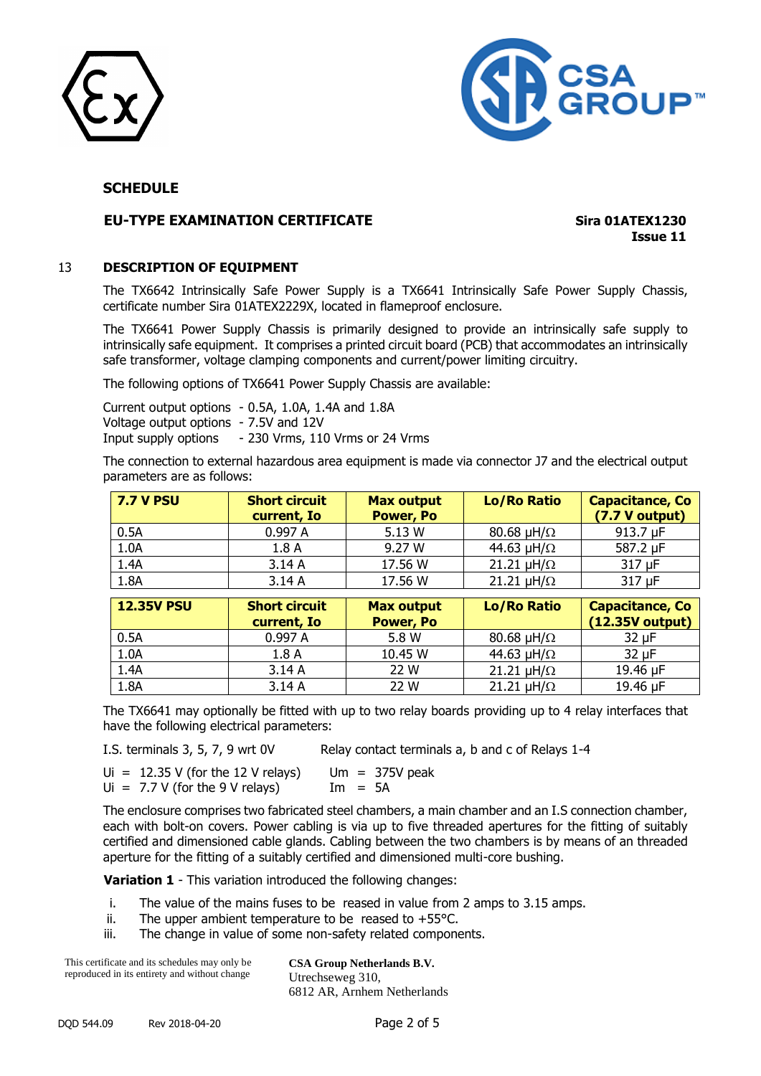



#### **EU-TYPE EXAMINATION CERTIFICATE Sira 01ATEX1230**

**Issue 11**

## 13 **DESCRIPTION OF EQUIPMENT**

The TX6642 Intrinsically Safe Power Supply is a TX6641 Intrinsically Safe Power Supply Chassis, certificate number Sira 01ATEX2229X, located in flameproof enclosure.

The TX6641 Power Supply Chassis is primarily designed to provide an intrinsically safe supply to intrinsically safe equipment. It comprises a printed circuit board (PCB) that accommodates an intrinsically safe transformer, voltage clamping components and current/power limiting circuitry.

The following options of TX6641 Power Supply Chassis are available:

Current output options - 0.5A, 1.0A, 1.4A and 1.8A Voltage output options - 7.5V and 12V Input supply options - 230 Vrms, 110 Vrms or 24 Vrms

The connection to external hazardous area equipment is made via connector J7 and the electrical output parameters are as follows:

| <b>7.7 V PSU</b>  | <b>Short circuit</b><br>current, Io | <b>Max output</b><br><b>Power, Po</b> | <b>Lo/Ro Ratio</b>      | <b>Capacitance, Co</b><br>(7.7 V output)    |
|-------------------|-------------------------------------|---------------------------------------|-------------------------|---------------------------------------------|
| 0.5A              | 0.997 A                             | 5.13 W                                | 80.68 $\mu$ H/ $\Omega$ | 913.7 µF                                    |
| 1.0A              | 1.8A                                | 9.27 W                                | 44.63 $\mu$ H/ $\Omega$ | 587.2 µF                                    |
| 1.4A              | 3.14A                               | 17.56 W                               | 21.21 $\mu$ H/ $\Omega$ | 317 µF                                      |
| 1.8A              | 3.14A                               | 17.56 W                               | 21.21 $\mu$ H/ $\Omega$ | 317 µF                                      |
|                   |                                     |                                       |                         |                                             |
| <b>12.35V PSU</b> | <b>Short circuit</b><br>current, Io | <b>Max output</b><br><b>Power, Po</b> | <b>Lo/Ro Ratio</b>      | <b>Capacitance, Co</b><br>$(12.35V$ output) |
| 0.5A              | 0.997 A                             | 5.8 W                                 | 80.68 $\mu$ H/ $\Omega$ | $32 \mu F$                                  |
| 1.0A              | 1.8A                                | 10.45 W                               | 44.63 $\mu$ H/ $\Omega$ | $32 \mu F$                                  |
| 1.4A              | 3.14A                               | 22 W                                  | 21.21 $\mu$ H/ $\Omega$ | 19.46 µF                                    |

The TX6641 may optionally be fitted with up to two relay boards providing up to 4 relay interfaces that have the following electrical parameters:

I.S. terminals 3, 5, 7, 9 wrt 0V Relay contact terminals a, b and c of Relays 1-4

Ui =  $12.35$  V (for the 12 V relays) Um =  $375V$  peak Ui =  $7.7 \text{ V}$  (for the 9 V relays) Im =  $5A$ 

The enclosure comprises two fabricated steel chambers, a main chamber and an I.S connection chamber, each with bolt-on covers. Power cabling is via up to five threaded apertures for the fitting of suitably certified and dimensioned cable glands. Cabling between the two chambers is by means of an threaded aperture for the fitting of a suitably certified and dimensioned multi-core bushing.

**Variation 1** - This variation introduced the following changes:

- i. The value of the mains fuses to be reased in value from 2 amps to 3.15 amps.
- ii. The upper ambient temperature to be reased to  $+55^{\circ}$ C.
- iii. The change in value of some non-safety related components.

This certificate and its schedules may only be reproduced in its entirety and without change **CSA Group Netherlands B.V.** Utrechseweg 310, 6812 AR, Arnhem Netherlands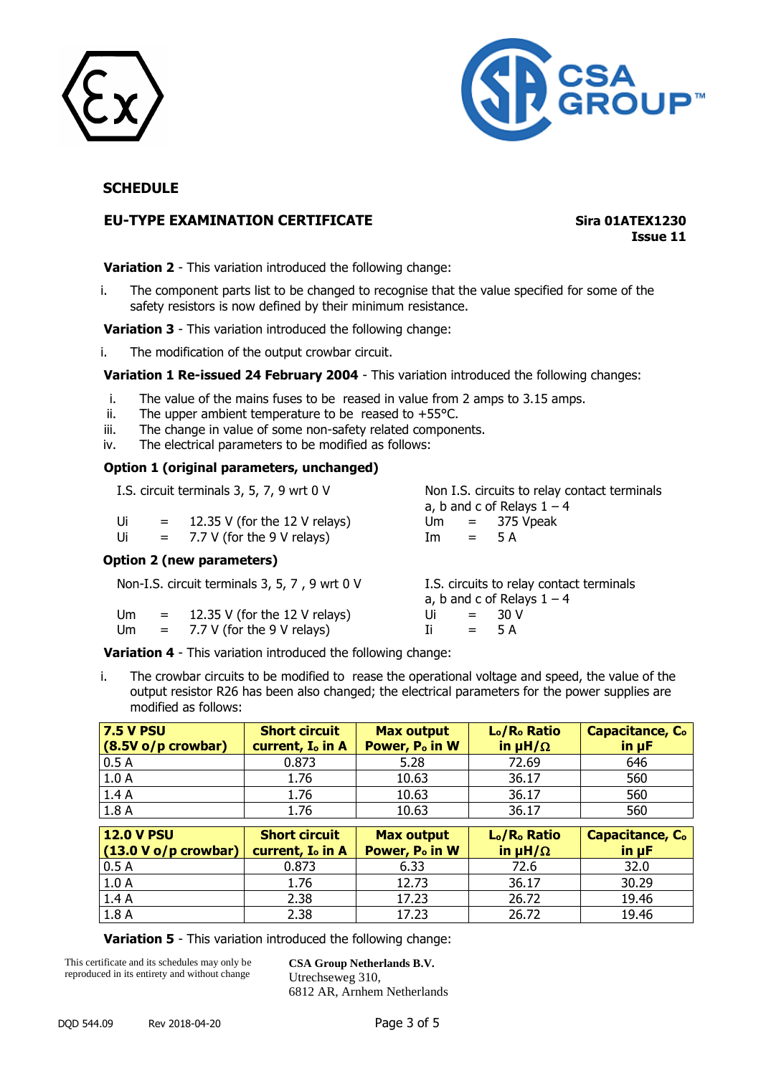



# **EU-TYPE EXAMINATION CERTIFICATE Sira 01ATEX1230**

**Issue 11**

**Variation 2** - This variation introduced the following change:

i. The component parts list to be changed to recognise that the value specified for some of the safety resistors is now defined by their minimum resistance.

**Variation 3** - This variation introduced the following change:

i. The modification of the output crowbar circuit.

**Variation 1 Re-issued 24 February 2004** - This variation introduced the following changes:

- i. The value of the mains fuses to be reased in value from 2 amps to 3.15 amps.
- ii. The upper ambient temperature to be reased to  $+55^{\circ}$ C.
- iii. The change in value of some non-safety related components.
- iv. The electrical parameters to be modified as follows:

#### **Option 1 (original parameters, unchanged)**

|    | I.S. circuit terminals 3, 5, 7, 9 wrt 0 V     |    | Non I.S. circuits to relay contact terminals<br>a, b and c of Relays $1 - 4$ |
|----|-----------------------------------------------|----|------------------------------------------------------------------------------|
| Ui | $=$ 12.35 V (for the 12 V relays)             |    | $Um = 375 Vpeak$                                                             |
| Ui | $= 7.7 V$ (for the 9 V relays)                | Im | $=$ 5 A                                                                      |
|    | Option 2 (new parameters)                     |    |                                                                              |
|    | Non-I.S. circuit terminals 3, 5, 7, 9 wrt 0 V |    | I.S. circuits to relay contact terminals<br>a, b and c of Relays $1 - 4$     |

**Variation 4** - This variation introduced the following change:

Um =  $12.35$  V (for the 12 V relays) Ui =  $30$  V Um =  $7.7 \text{ V}$  (for the 9 V relays) Ii =  $5 \text{ A}$ 

i. The crowbar circuits to be modified to rease the operational voltage and speed, the value of the output resistor R26 has been also changed; the electrical parameters for the power supplies are modified as follows:

| <b>7.5 V PSU</b><br>$(8.5V)$ o/p crowbar)   | <b>Short circuit</b><br>current, I <sub>o</sub> in A | <b>Max output</b><br>Power, P <sub>o</sub> in W | L <sub>o</sub> /R <sub>o</sub> Ratio<br>in $\mu H/\Omega$ | <b>Capacitance, C.</b><br>$\mathsf{in} \ \mathsf{up}$ F |
|---------------------------------------------|------------------------------------------------------|-------------------------------------------------|-----------------------------------------------------------|---------------------------------------------------------|
| 0.5A                                        | 0.873                                                | 5.28                                            | 72.69                                                     | 646                                                     |
| 1.0A                                        | 1.76                                                 | 10.63                                           | 36.17                                                     | 560                                                     |
| 1.4A                                        | 1.76                                                 | 10.63                                           | 36.17                                                     | 560                                                     |
| 1.8A                                        | 1.76                                                 | 10.63                                           | 36.17                                                     | 560                                                     |
| <b>12.0 V PSU</b><br>$(13.0 V o/p$ crowbar) | <b>Short circuit</b><br>current, I <sub>o</sub> in A | <b>Max output</b><br>Power, P <sub>o</sub> in W | L <sub>o</sub> /R <sub>o</sub> Ratio<br>in $\mu H/\Omega$ | <b>Capacitance, C.</b><br>$\mathsf{in} \ \mathsf{up}$ F |
| 0.5A                                        | 0.873                                                | 6.33                                            | 72.6                                                      | 32.0                                                    |
| 1.0A                                        | 1.76                                                 | 12.73                                           | 36.17                                                     | 30.29                                                   |
| 1.4A                                        | 2.38                                                 | 17.23                                           | 26.72                                                     | 19.46                                                   |
| 1.8A                                        | 2.38                                                 | 17.23                                           | 26.72                                                     | 19.46                                                   |

**Variation 5** - This variation introduced the following change:

This certificate and its schedules may only be reproduced in its entirety and without change

**CSA Group Netherlands B.V.** Utrechseweg 310, 6812 AR, Arnhem Netherlands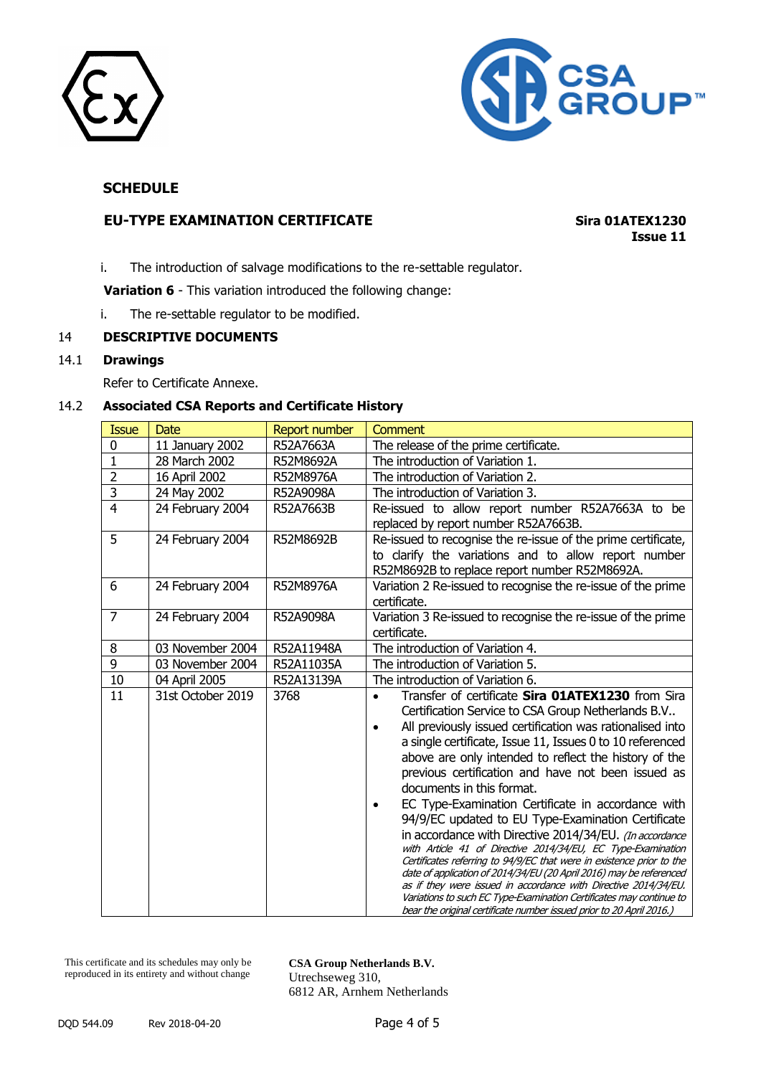



# **EU-TYPE EXAMINATION CERTIFICATE Sira 01ATEX1230**

**Issue 11**

i. The introduction of salvage modifications to the re-settable regulator.

**Variation 6** - This variation introduced the following change:

i. The re-settable regulator to be modified.

#### 14 **DESCRIPTIVE DOCUMENTS**

#### 14.1 **Drawings**

Refer to Certificate Annexe.

# 14.2 **Associated CSA Reports and Certificate History**

| <b>Issue</b>            | Date              | <b>Report number</b> | Comment                                                                                                                                                                                                                                                                                                                                                                                                                                                                                                                                                                                                                                                                                                                                                                                                                                                                                                                                                                                                    |
|-------------------------|-------------------|----------------------|------------------------------------------------------------------------------------------------------------------------------------------------------------------------------------------------------------------------------------------------------------------------------------------------------------------------------------------------------------------------------------------------------------------------------------------------------------------------------------------------------------------------------------------------------------------------------------------------------------------------------------------------------------------------------------------------------------------------------------------------------------------------------------------------------------------------------------------------------------------------------------------------------------------------------------------------------------------------------------------------------------|
| 0                       | 11 January 2002   | R52A7663A            | The release of the prime certificate.                                                                                                                                                                                                                                                                                                                                                                                                                                                                                                                                                                                                                                                                                                                                                                                                                                                                                                                                                                      |
| $\mathbf{1}$            | 28 March 2002     | R52M8692A            | The introduction of Variation 1.                                                                                                                                                                                                                                                                                                                                                                                                                                                                                                                                                                                                                                                                                                                                                                                                                                                                                                                                                                           |
| $\overline{2}$          | 16 April 2002     | R52M8976A            | The introduction of Variation 2.                                                                                                                                                                                                                                                                                                                                                                                                                                                                                                                                                                                                                                                                                                                                                                                                                                                                                                                                                                           |
| $\overline{\mathbf{3}}$ | 24 May 2002       | R52A9098A            | The introduction of Variation 3.                                                                                                                                                                                                                                                                                                                                                                                                                                                                                                                                                                                                                                                                                                                                                                                                                                                                                                                                                                           |
| $\overline{4}$          | 24 February 2004  | R52A7663B            | Re-issued to allow report number R52A7663A to be<br>replaced by report number R52A7663B.                                                                                                                                                                                                                                                                                                                                                                                                                                                                                                                                                                                                                                                                                                                                                                                                                                                                                                                   |
| 5                       | 24 February 2004  | R52M8692B            | Re-issued to recognise the re-issue of the prime certificate,<br>to clarify the variations and to allow report number<br>R52M8692B to replace report number R52M8692A.                                                                                                                                                                                                                                                                                                                                                                                                                                                                                                                                                                                                                                                                                                                                                                                                                                     |
| 6                       | 24 February 2004  | R52M8976A            | Variation 2 Re-issued to recognise the re-issue of the prime<br>certificate.                                                                                                                                                                                                                                                                                                                                                                                                                                                                                                                                                                                                                                                                                                                                                                                                                                                                                                                               |
| $\overline{7}$          | 24 February 2004  | R52A9098A            | Variation 3 Re-issued to recognise the re-issue of the prime<br>certificate.                                                                                                                                                                                                                                                                                                                                                                                                                                                                                                                                                                                                                                                                                                                                                                                                                                                                                                                               |
| 8                       | 03 November 2004  | R52A11948A           | The introduction of Variation 4.                                                                                                                                                                                                                                                                                                                                                                                                                                                                                                                                                                                                                                                                                                                                                                                                                                                                                                                                                                           |
| 9                       | 03 November 2004  | R52A11035A           | The introduction of Variation 5.                                                                                                                                                                                                                                                                                                                                                                                                                                                                                                                                                                                                                                                                                                                                                                                                                                                                                                                                                                           |
| 10                      | 04 April 2005     | R52A13139A           | The introduction of Variation 6.                                                                                                                                                                                                                                                                                                                                                                                                                                                                                                                                                                                                                                                                                                                                                                                                                                                                                                                                                                           |
| 11                      | 31st October 2019 | 3768                 | Transfer of certificate <b>Sira 01ATEX1230</b> from Sira<br>$\bullet$<br>Certification Service to CSA Group Netherlands B.V<br>All previously issued certification was rationalised into<br>a single certificate, Issue 11, Issues 0 to 10 referenced<br>above are only intended to reflect the history of the<br>previous certification and have not been issued as<br>documents in this format.<br>EC Type-Examination Certificate in accordance with<br>94/9/EC updated to EU Type-Examination Certificate<br>in accordance with Directive 2014/34/EU. (In accordance<br>with Article 41 of Directive 2014/34/EU, EC Type-Examination<br>Certificates referring to 94/9/EC that were in existence prior to the<br>date of application of 2014/34/EU (20 April 2016) may be referenced<br>as if they were issued in accordance with Directive 2014/34/EU.<br>Variations to such EC Type-Examination Certificates may continue to<br>bear the original certificate number issued prior to 20 April 2016.) |

This certificate and its schedules may only be reproduced in its entirety and without change

**CSA Group Netherlands B.V.** Utrechseweg 310, 6812 AR, Arnhem Netherlands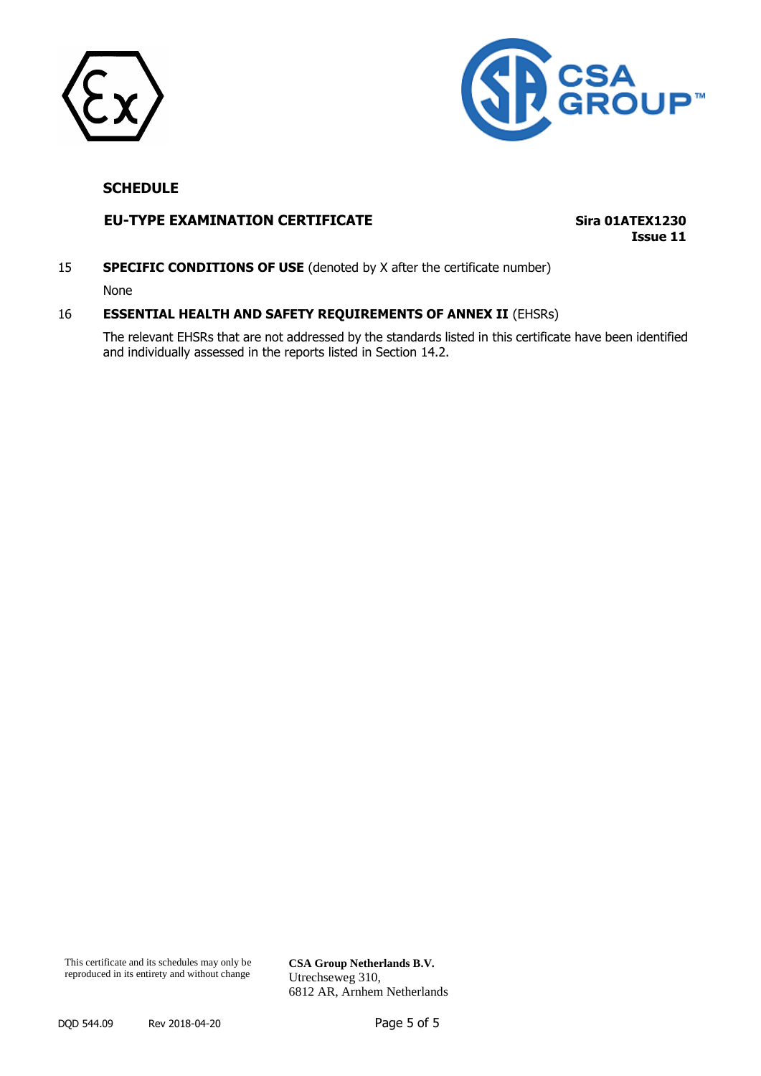



# **EU-TYPE EXAMINATION CERTIFICATE Sira 01ATEX1230**

**Issue 11**

15 **SPECIFIC CONDITIONS OF USE** (denoted by X after the certificate number)

None

#### 16 **ESSENTIAL HEALTH AND SAFETY REQUIREMENTS OF ANNEX II** (EHSRs)

The relevant EHSRs that are not addressed by the standards listed in this certificate have been identified and individually assessed in the reports listed in Section 14.2.

**CSA Group Netherlands B.V.** Utrechseweg 310, 6812 AR, Arnhem Netherlands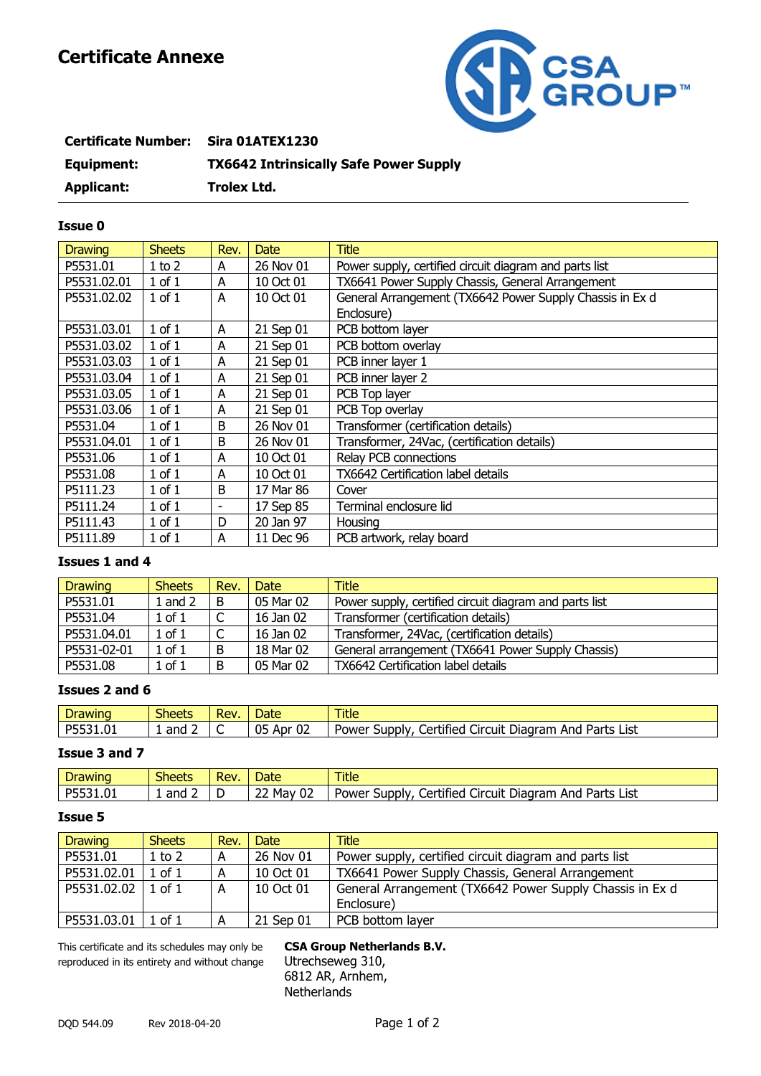# **Certificate Annexe**



| <b>Certificate Number:</b> | <b>Sira 01ATEX1230</b>                        |
|----------------------------|-----------------------------------------------|
| Equipment:                 | <b>TX6642 Intrinsically Safe Power Supply</b> |
| Applicant:                 | Trolex Ltd.                                   |

#### **Issue 0**

| <b>Drawing</b> | <b>Sheets</b> | Rev.                     | <b>Date</b> | <b>Title</b>                                             |
|----------------|---------------|--------------------------|-------------|----------------------------------------------------------|
| P5531.01       | $1$ to $2$    | A                        | 26 Nov 01   | Power supply, certified circuit diagram and parts list   |
| P5531.02.01    | $1$ of $1$    | A                        | 10 Oct 01   | TX6641 Power Supply Chassis, General Arrangement         |
| P5531.02.02    | $1$ of $1$    | A                        | 10 Oct 01   | General Arrangement (TX6642 Power Supply Chassis in Ex d |
|                |               |                          |             | Enclosure)                                               |
| P5531.03.01    | $1$ of $1$    | A                        | 21 Sep 01   | PCB bottom layer                                         |
| P5531.03.02    | $1$ of $1$    | A                        | 21 Sep 01   | PCB bottom overlay                                       |
| P5531.03.03    | $1$ of $1$    | A                        | 21 Sep 01   | PCB inner layer 1                                        |
| P5531.03.04    | $1$ of $1$    | A                        | 21 Sep 01   | PCB inner layer 2                                        |
| P5531.03.05    | $1$ of $1$    | A                        | 21 Sep 01   | PCB Top layer                                            |
| P5531.03.06    | $1$ of $1$    | A                        | 21 Sep 01   | PCB Top overlay                                          |
| P5531.04       | $1$ of $1$    | B                        | 26 Nov 01   | Transformer (certification details)                      |
| P5531.04.01    | $1$ of $1$    | B                        | 26 Nov 01   | Transformer, 24Vac, (certification details)              |
| P5531.06       | $1$ of $1$    | A                        | 10 Oct 01   | Relay PCB connections                                    |
| P5531.08       | $1$ of $1$    | A                        | 10 Oct 01   | TX6642 Certification label details                       |
| P5111.23       | $1$ of $1$    | B                        | 17 Mar 86   | Cover                                                    |
| P5111.24       | $1$ of $1$    | $\overline{\phantom{0}}$ | 17 Sep 85   | Terminal enclosure lid                                   |
| P5111.43       | $1$ of $1$    | D                        | 20 Jan 97   | Housing                                                  |
| P5111.89       | $1$ of $1$    | A                        | 11 Dec 96   | PCB artwork, relay board                                 |

#### **Issues 1 and 4**

| <b>Drawing</b> | <b>Sheets</b> | Rev.         | Date:     | <b>Title</b>                                           |
|----------------|---------------|--------------|-----------|--------------------------------------------------------|
| P5531.01       | $1$ and $2$   | B            | 05 Mar 02 | Power supply, certified circuit diagram and parts list |
| P5531.04       | $1$ of $1$    | C            | 16 Jan 02 | Transformer (certification details)                    |
| P5531.04.01    | $1$ of $1$    | $\mathsf{C}$ | 16 Jan 02 | Transformer, 24Vac, (certification details)            |
| P5531-02-01    | $1$ of $1$    | B            | 18 Mar 02 | General arrangement (TX6641 Power Supply Chassis)      |
| P5531.08       | $1$ of $1$    | B            | 05 Mar 02 | TX6642 Certification label details                     |

#### **Issues 2 and 6**

| Drawing         | $\sim$<br>Sheets | Rev | Jate                      | <b>Title</b>                                                                       |
|-----------------|------------------|-----|---------------------------|------------------------------------------------------------------------------------|
| D552<br>5531.01 | and              | ∼   | $\sim$<br>05<br>Apr<br>UZ | Diagram<br>Parts<br><b>List</b><br>Certified<br>And<br>Supply,<br>Circuit<br>Power |

# **Issue 3 and 7**

| Drawinc        | $\sim$<br>Sheets | Rev. | Date                      | Title                                                                      |
|----------------|------------------|------|---------------------------|----------------------------------------------------------------------------|
| DE.<br>5531.01 | and              |      | 02<br>$\sim$<br>Mav<br>∠∠ | Parts<br>List<br>supply<br>Certified<br>Circuit<br>And<br>Diagram<br>Power |

#### **Issue 5**

| <b>Drawing</b>       | <b>Sheets</b> | Rev. | Date      | <b>Title</b>                                             |
|----------------------|---------------|------|-----------|----------------------------------------------------------|
| P5531.01             | 1 to 2        | A    | 26 Nov 01 | Power supply, certified circuit diagram and parts list   |
| P5531.02.01          | 1 of 1        | A    | 10 Oct 01 | TX6641 Power Supply Chassis, General Arrangement         |
| P5531.02.02          | $1$ of $1$    | A    | 10 Oct 01 | General Arrangement (TX6642 Power Supply Chassis in Ex d |
|                      |               |      |           | Enclosure)                                               |
| P5531.03.01   1 of 1 |               | А    | 21 Sep 01 | PCB bottom layer                                         |

This certificate and its schedules may only be **CSA Group Netherlands B.V.** reproduced in its entirety and without change Utrechseweg 310,

6812 AR, Arnhem, **Netherlands**